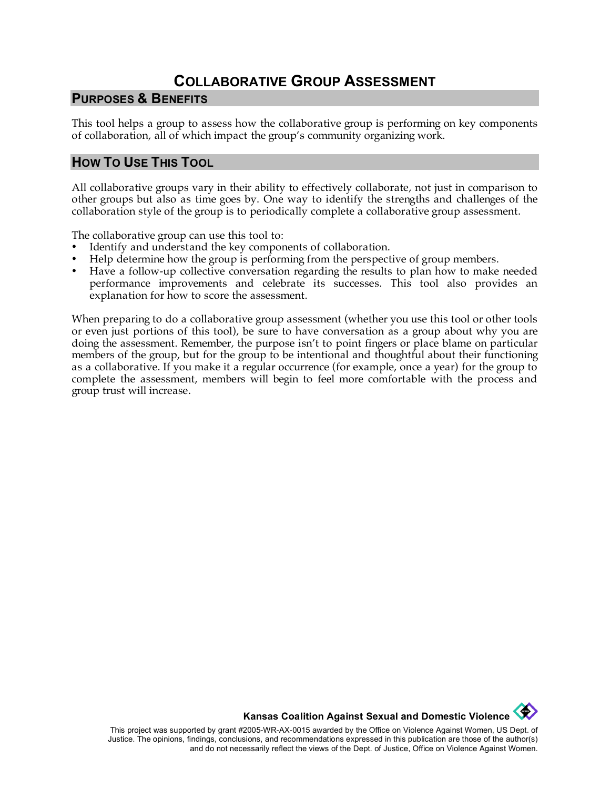# **COLLABORATIVE GROUP ASSESSMENT**

#### **PURPOSES & BENEFITS**

This tool helps a group to assess how the collaborative group is performing on key components of collaboration, all of which impact the group's community organizing work.

### **HOW TO USE THIS TOOL**

All collaborative groups vary in their ability to effectively collaborate, not just in comparison to other groups but also as time goes by. One way to identify the strengths and challenges of the collaboration style of the group is to periodically complete a collaborative group assessment.

The collaborative group can use this tool to:

- Identify and understand the key components of collaboration.
- Help determine how the group is performing from the perspective of group members.
- Have a follow-up collective conversation regarding the results to plan how to make needed performance improvements and celebrate its successes. This tool also provides an explanation for how to score the assessment.

When preparing to do a collaborative group assessment (whether you use this tool or other tools or even just portions of this tool), be sure to have conversation as a group about why you are doing the assessment. Remember, the purpose isn't to point fingers or place blame on particular members of the group, but for the group to be intentional and thoughtful about their functioning as a collaborative. If you make it a regular occurrence (for example, once a year) for the group to complete the assessment, members will begin to feel more comfortable with the process and group trust will increase.

**Kansas Coalition Against Sexual and Domestic Violence** 

This project was supported by grant #2005-WR-AX-0015 awarded by the Office on Violence Against Women, US Dept. of Justice. The opinions, findings, conclusions, and recommendations expressed in this publication are those of the author(s) and do not necessarily reflect the views of the Dept. of Justice, Office on Violence Against Women.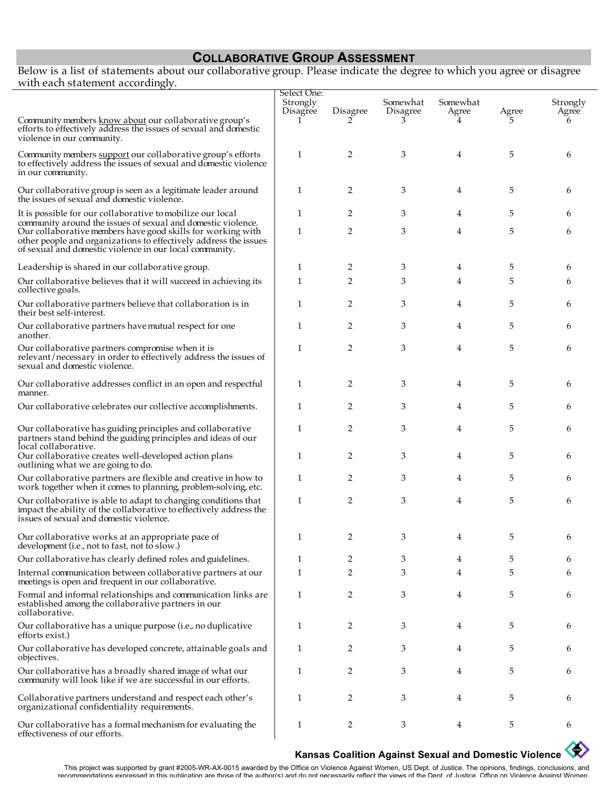## **COLLABORATIVE GROUP ASSESSMENT**

Below is a list of statements about our collaborative group. Please indicate the degree to which you agree or disagree with each statement accordingly.

|                                                                                                                                                                                            | Select One:          |          |                      |                        |       |                                     |
|--------------------------------------------------------------------------------------------------------------------------------------------------------------------------------------------|----------------------|----------|----------------------|------------------------|-------|-------------------------------------|
| Community members know about our collaborative group's                                                                                                                                     | Strongly<br>Disagree | Disagree | Somewhat<br>Disagree | Somewhat<br>Agree<br>4 | Agree | Strongly<br>Agree <sup>®</sup><br>h |
| efforts to effectively address the issues of sexual and domestic<br>violence in our community.                                                                                             |                      |          |                      |                        |       |                                     |
| Community members support our collaborative group's efforts<br>to effectively address the issues of sexual and domestic violence<br>in our community.                                      | 1                    | 2        | 3                    | 4                      | 5     | 6                                   |
| Our collaborative group is seen as a legitimate leader around the issues of sexual and domestic violence.                                                                                  | 1                    | 2        | 3                    | 4                      | 5     | 6                                   |
| It is possible for our collaborative to mobilize our local<br>community around the issues of sexual and domestic violence.                                                                 | 1                    | 2        | 3                    | 4                      | 5     | 6                                   |
| Our collaborative members have good skills for working with<br>other people and organizations to effectively address the issues<br>of sexual and domestic violence in our local community. | 1                    | 2        | 3                    | 4                      | 5     | 6                                   |
| Leadership is shared in our collaborative group.                                                                                                                                           | 1                    | 2        | 3                    | 4                      | 5     | 6                                   |
| Our collaborative believes that it will succeed in achieving its<br>collective goals.                                                                                                      | 1                    | 2        | 3                    | 4                      | 5     | 6                                   |
| Our collaborative partners believe that collaboration is in<br>their best self-interest.                                                                                                   | 1                    | 2        | 3                    | 4                      | 5     | 6                                   |
| Our collaborative partners have mutual respect for one<br>another.                                                                                                                         | 1                    | 2        | 3                    | 4                      | 5     | 6                                   |
| Our collaborative partners compromise when it is<br>relevant/necessary in order to effectively address the issues of<br>sexual and domestic violence.                                      | 1                    | 2        | 3                    | 4                      | 5     | 6                                   |
| Our collaborative addresses conflict in an open and respectful<br>manner.                                                                                                                  | 1                    | 2        | 3                    | 4                      | 5     | 6                                   |
| Our collaborative celebrates our collective accomplishments.                                                                                                                               | 1                    | 2        | 3                    | 4                      | 5     | 6                                   |
| Our collaborative has guiding principles and collaborative<br>partners stand behind the guiding principles and ideas of our<br>local collaborative.                                        | 1                    | 2        | 3                    | 4                      | 5     | 6                                   |
| Our collaborative creates well-developed action plans<br>outlining what we are going to do.                                                                                                | 1                    | 2        | 3                    | 4                      | 5     | 6                                   |
| Our collaborative partners are flexible and creative in how to<br>work together when it comes to planning, problem-solving, etc.                                                           | 1                    | 2        | 3                    | 4                      | 5     | 6                                   |
| Our collaborative is able to adapt to changing conditions that<br>impact the ability of the collaborative to effectively address the<br>issues of sexual and domestic violence.            | 1                    | 2        | 3                    | 4                      | 5     | 6                                   |
| Our collaborative works at an appropriate pace of<br>development (i.e., not to fast, not to slow.)                                                                                         | 1                    | 2        |                      |                        |       |                                     |
| Our collaborative has clearly defined roles and guidelines.                                                                                                                                | 1                    | 2        | 3                    | 4                      | 5     | 6                                   |
| Internal communication between collaborative partners at our<br>meetings is open and frequent in our collaborative.                                                                        | 1                    | 2        | 3                    | 4                      | 5     |                                     |
| Formal and informal relationships and communication links are<br>established among the collaborative partners in our<br>collaborative.                                                     | 1                    | 2        | 3                    | 4                      | 5     | 6                                   |
| Our collaborative has a unique purpose (i.e., no duplicative<br>efforts exist.)                                                                                                            | 1                    | 2        | 3                    | 4                      | 5     | 6                                   |
| Our collaborative has developed concrete, attainable goals and<br>objectives.                                                                                                              | 1                    | 2        | 3                    | 4                      | 5     | 6                                   |
| Our collaborative has a broadly shared image of what our<br>community will look like if we are successful in our efforts.                                                                  | 1                    | 2        | 3                    | 4                      | 5     | 6                                   |
| Collaborative partners understand and respect each other's<br>organizational confidentiality requirements.                                                                                 | 1                    | 2        | 3                    | 4                      | 5     | 6                                   |
| Our collaborative has a formal mechanism for evaluating the<br>effectiveness of our efforts.                                                                                               | 1                    | 2        | 3                    | 4                      | 5     | 6                                   |

# **Kansas Coalition Against Sexual and Domestic Violence**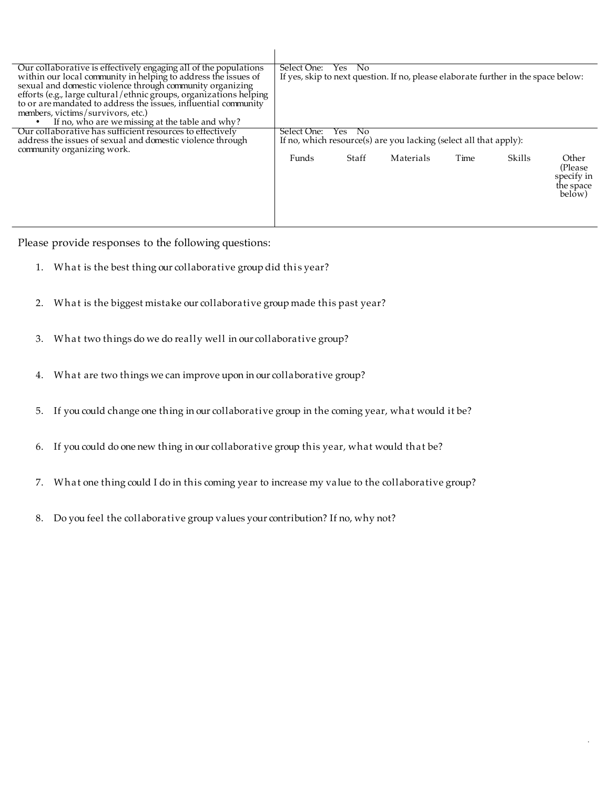| Our collaborative is effectively engaging all of the populations<br>within our local community in helping to address the issues of<br>sexual and domestic violence through community organizing<br>efforts (e.g., large cultural/ethnic groups, organizations helping<br>to or are mandated to address the issues, influential community<br>members, victims/survivors, etc.)<br>If no, who are we missing at the table and why? | Select One:<br>No.<br>Yes.<br>If yes, skip to next question. If no, please elaborate further in the space below: |       |           |      |        |                                                        |  |
|----------------------------------------------------------------------------------------------------------------------------------------------------------------------------------------------------------------------------------------------------------------------------------------------------------------------------------------------------------------------------------------------------------------------------------|------------------------------------------------------------------------------------------------------------------|-------|-----------|------|--------|--------------------------------------------------------|--|
| Our collaborative has sufficient resources to effectively                                                                                                                                                                                                                                                                                                                                                                        | No.<br>Select One:<br>Yes.                                                                                       |       |           |      |        |                                                        |  |
| address the issues of sexual and domestic violence through                                                                                                                                                                                                                                                                                                                                                                       | If no, which resource(s) are you lacking (select all that apply):                                                |       |           |      |        |                                                        |  |
| community organizing work.                                                                                                                                                                                                                                                                                                                                                                                                       |                                                                                                                  |       |           |      |        |                                                        |  |
|                                                                                                                                                                                                                                                                                                                                                                                                                                  | Funds                                                                                                            | Staff | Materials | Time | Skills | Other<br>(Please)<br>specify in<br>the space<br>below) |  |

Please provide responses to the following questions:

- 1. What is the best thing our collaborative group did this year?
- 2. What is the biggest mistake our collaborative group made this past year?
- 3. What two things do we do really well in our collaborative group?
- 4. What are two things we can improve upon in our collaborative group?
- 5. If you could change one thing in our collaborative group in the coming year, what would it be?
- 6. If you could do one new thing in our collaborative group this year, what would that be?
- 7. What one thing could I do in this coming year to increase my value to the collaborative group?

.

8. Do you feel the collaborative group values your contribution? If no, why not?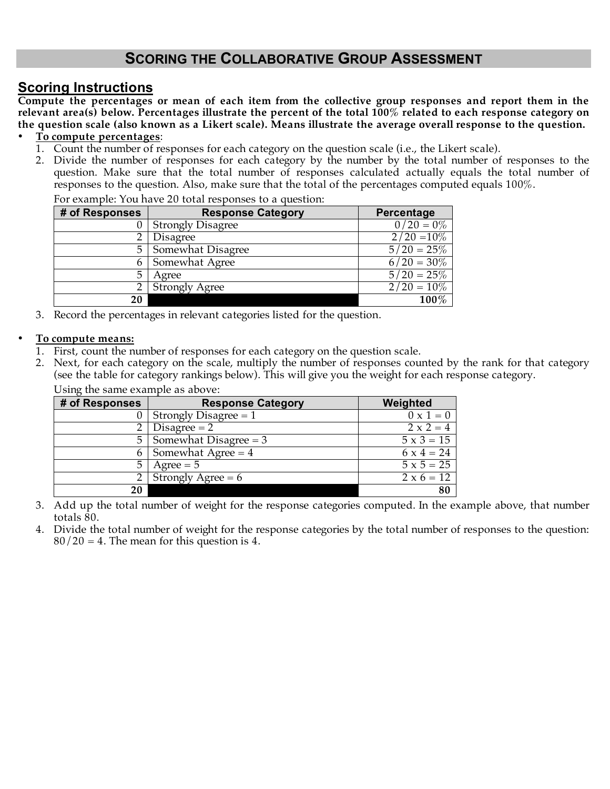# **SCORING THE COLLABORATIVE GROUP ASSESSMENT**

# **Scoring Instructions**

**Compute the percentages or mean of each item from the collective group responses and report them in the relevant area(s) below. Percentages illustrate the percent of the total 100% related to each response category on the question scale (also known as a Likert scale). Means illustrate the average overall response to the question.**

#### • **To compute percentages**:

- 1. Count the number of responses for each category on the question scale (i.e., the Likert scale).
- 2. Divide the number of responses for each category by the number by the total number of responses to the question. Make sure that the total number of responses calculated actually equals the total number of responses to the question. Also, make sure that the total of the percentages computed equals 100%.

| # of Responses | <b>Response Category</b> | Percentage           |
|----------------|--------------------------|----------------------|
|                | <b>Strongly Disagree</b> | $0/20 = 0\%$         |
|                | <b>Disagree</b>          | $2/20 = 10\%$        |
| 5              | Somewhat Disagree        | $5/20 = 25\%$        |
|                | Somewhat Agree           | $6/20 = 30\%$        |
|                | Agree                    | $5/20 = 25\%$        |
|                | <b>Strongly Agree</b>    | $\sqrt{2/20} = 10\%$ |
| 20             |                          | 100%                 |

For example: You have 20 total responses to a question:

3. Record the percentages in relevant categories listed for the question.

#### • **To compute means:**

- 1. First, count the number of responses for each category on the question scale.
- 2. Next, for each category on the scale, multiply the number of responses counted by the rank for that category (see the table for category rankings below). This will give you the weight for each response category. Using the same example as above:

| $\sim$ only the banne example ab above. |                          |                   |
|-----------------------------------------|--------------------------|-------------------|
| # of Responses                          | <b>Response Category</b> | Weighted          |
|                                         | Strongly Disagree $= 1$  | $0 \times 1 = 0$  |
|                                         | Disagree $= 2$           | $2 \times 2 = 4$  |
| 5                                       | Somewhat Disagree $=$ 3  | $5 \times 3 = 15$ |
|                                         | Somewhat Agree $= 4$     | $6 \times 4 = 24$ |
| 5                                       | $Agree = 5$              | $5 \times 5 = 25$ |
|                                         | Strongly Agree $= 6$     | $2 \times 6 = 12$ |
| 20                                      |                          | 80                |

- 3. Add up the total number of weight for the response categories computed. In the example above, that number totals 80.
- 4. Divide the total number of weight for the response categories by the total number of responses to the question:  $80/20 = 4$ . The mean for this question is 4.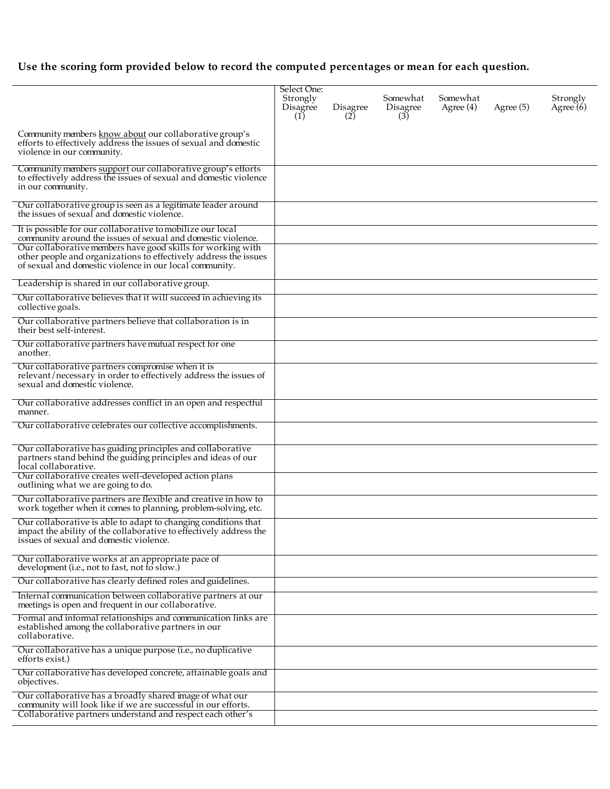# **Use the scoring form provided below to record the computed percentages or mean for each question.**

|                                                                                                                                                                                            | Select One:<br>Strongly<br>Disagree<br>(1) | Disagree<br>(2) | Somewhat<br>Disagree<br>(3) | Somewhat<br>Agree $(4)$ | Agree $(5)$ | Strongly<br>Agree $(6)$ |
|--------------------------------------------------------------------------------------------------------------------------------------------------------------------------------------------|--------------------------------------------|-----------------|-----------------------------|-------------------------|-------------|-------------------------|
| Community members know about our collaborative group's<br>efforts to effectively address the issues of sexual and domestic<br>violence in our community.                                   |                                            |                 |                             |                         |             |                         |
| Community members support our collaborative group's efforts<br>to effectively address the issues of sexual and domestic violence<br>in our community.                                      |                                            |                 |                             |                         |             |                         |
| Our collaborative group is seen as a legitimate leader around<br>the issues of sexual and domestic violence.                                                                               |                                            |                 |                             |                         |             |                         |
| It is possible for our collaborative to mobilize our local<br>community around the issues of sexual and domestic violence.                                                                 |                                            |                 |                             |                         |             |                         |
| Our collaborative members have good skills for working with<br>other people and organizations to effectively address the issues<br>of sexual and domestic violence in our local community. |                                            |                 |                             |                         |             |                         |
| Leadership is shared in our collaborative group.                                                                                                                                           |                                            |                 |                             |                         |             |                         |
| Our collaborative believes that it will succeed in achieving its<br>collective goals.                                                                                                      |                                            |                 |                             |                         |             |                         |
| Our collaborative partners believe that collaboration is in<br>their best self-interest.                                                                                                   |                                            |                 |                             |                         |             |                         |
| Our collaborative partners have mutual respect for one<br>another.                                                                                                                         |                                            |                 |                             |                         |             |                         |
| Our collaborative partners compromise when it is<br>relevant/necessary in order to effectively address the issues of<br>sexual and domestic violence.                                      |                                            |                 |                             |                         |             |                         |
| Our collaborative addresses conflict in an open and respectful<br>manner.                                                                                                                  |                                            |                 |                             |                         |             |                         |
| Our collaborative celebrates our collective accomplishments.                                                                                                                               |                                            |                 |                             |                         |             |                         |
| Our collaborative has guiding principles and collaborative<br>partners stand behind the guiding principles and ideas of our<br>local collaborative.                                        |                                            |                 |                             |                         |             |                         |
| Our collaborative creates well-developed action plans<br>outlining what we are going to do.                                                                                                |                                            |                 |                             |                         |             |                         |
| Our collaborative partners are flexible and creative in how to<br>work together when it comes to planning, problem-solving, etc.                                                           |                                            |                 |                             |                         |             |                         |
| Our collaborative is able to adapt to changing conditions that<br>impact the ability of the collaborative to effectively address the<br>issues of sexual and domestic violence.            |                                            |                 |                             |                         |             |                         |
| Our collaborative works at an appropriate pace of<br>development (i.e., not to fast, not to slow.)                                                                                         |                                            |                 |                             |                         |             |                         |
| Our collaborative has clearly defined roles and guidelines.                                                                                                                                |                                            |                 |                             |                         |             |                         |
| Internal communication between collaborative partners at our<br>meetings is open and frequent in our collaborative.                                                                        |                                            |                 |                             |                         |             |                         |
| Formal and informal relationships and communication links are<br>established among the collaborative partners in our<br>collaborative.                                                     |                                            |                 |                             |                         |             |                         |
| Our collaborative has a unique purpose (i.e., no duplicative<br>efforts exist.)                                                                                                            |                                            |                 |                             |                         |             |                         |
| Our collaborative has developed concrete, attainable goals and<br>objectives.                                                                                                              |                                            |                 |                             |                         |             |                         |
| Our collaborative has a broadly shared image of what our<br>community will look like if we are successful in our efforts.<br>Collaborative partners understand and respect each other's    |                                            |                 |                             |                         |             |                         |